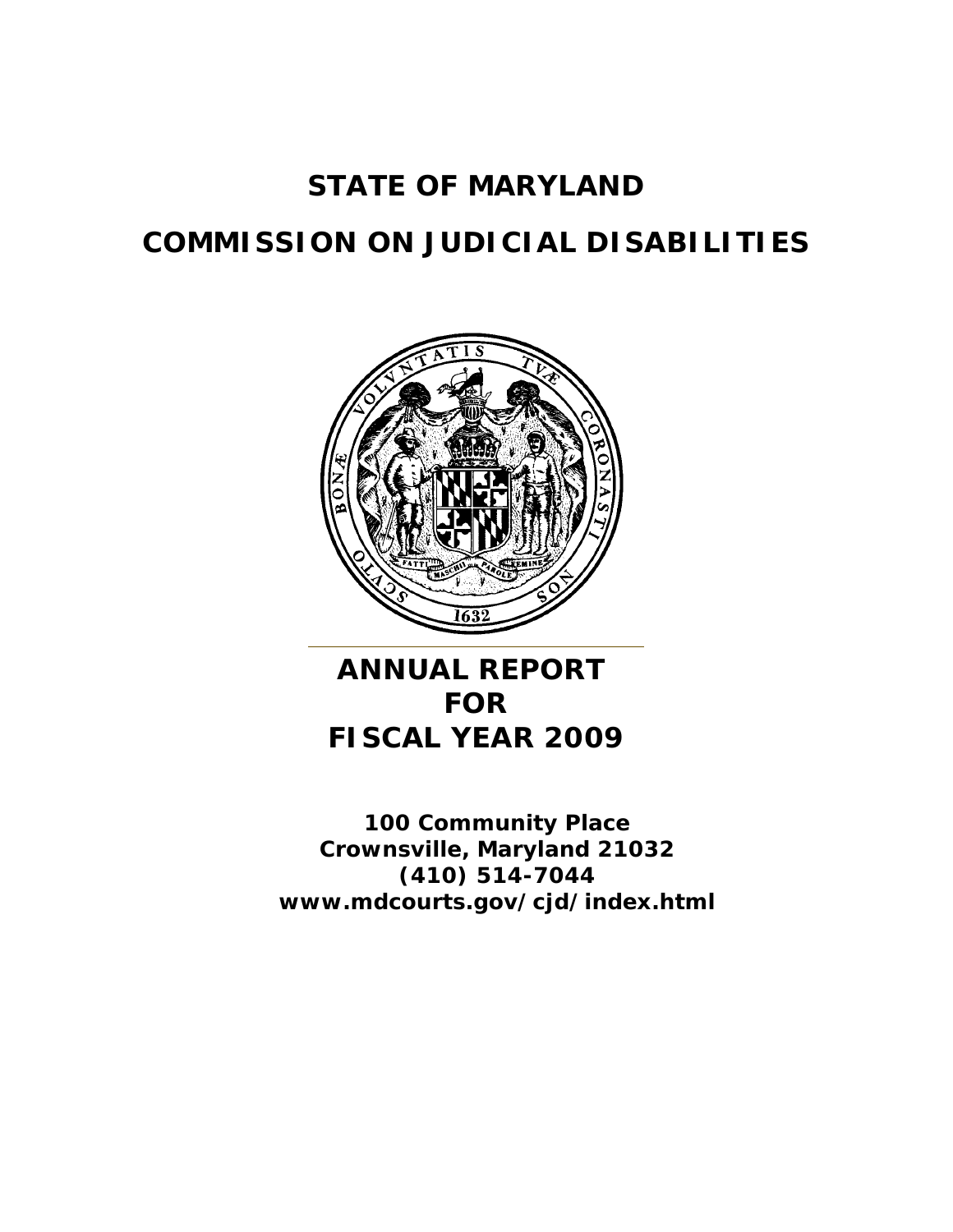# **STATE OF MARYLAND**

# **COMMISSION ON JUDICIAL DISABILITIES**



# **ANNUAL REPORT FOR FISCAL YEAR 2009**

**100 Community Place Crownsville, Maryland 21032 (410) 514-7044 www.mdcourts.gov/cjd/index.html**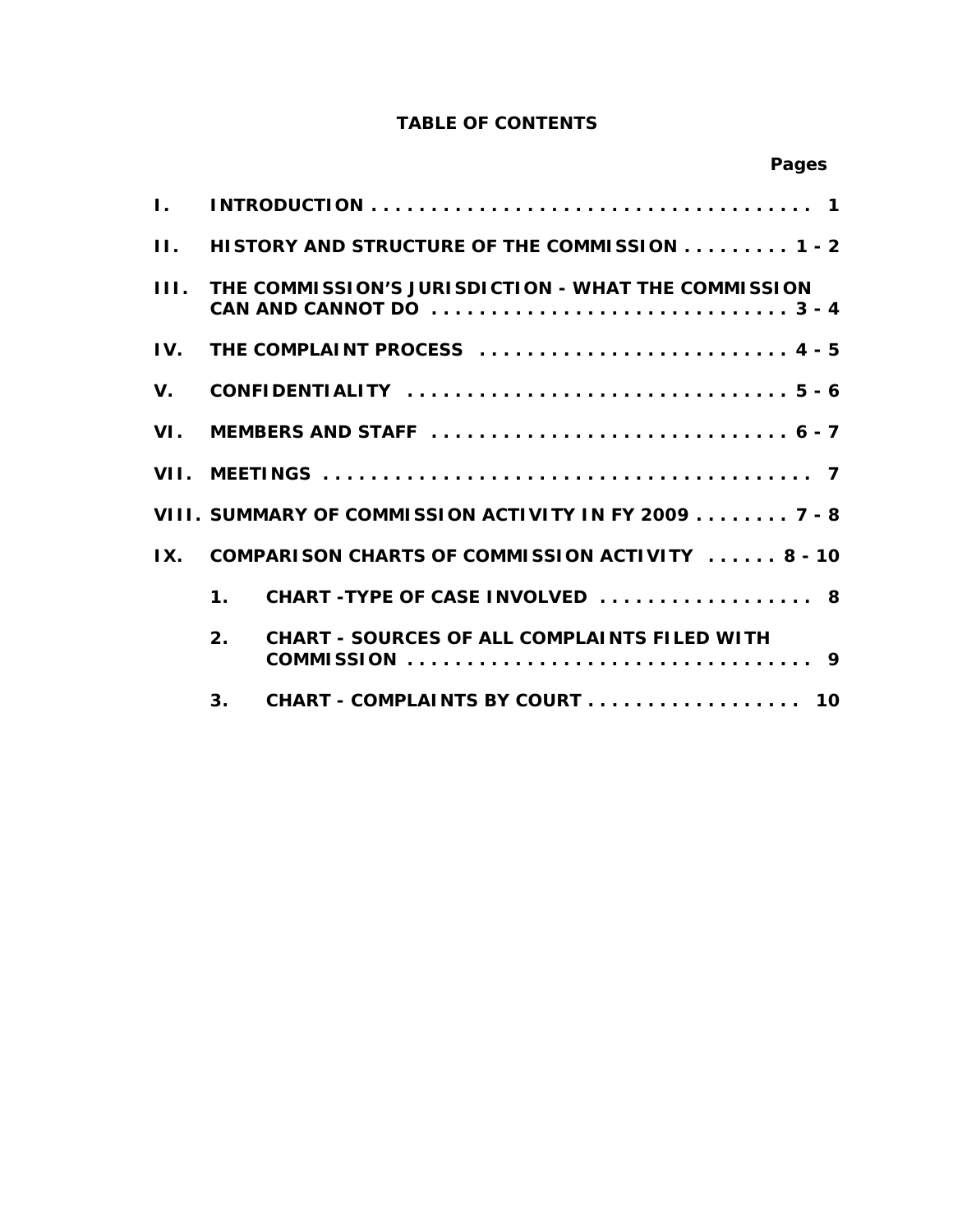# **TABLE OF CONTENTS**

|              |                |                                                                              | Pages |  |
|--------------|----------------|------------------------------------------------------------------------------|-------|--|
| L.           |                |                                                                              |       |  |
| $\mathbf{H}$ |                | HISTORY AND STRUCTURE OF THE COMMISSION 1 - 2                                |       |  |
| III.         |                | THE COMMISSION'S JURISDICTION - WHAT THE COMMISSION                          |       |  |
| IV.          |                | THE COMPLAINT PROCESS  4 - 5                                                 |       |  |
| V.           |                | CONFIDENTIALITY $\dots\dots\dots\dots\dots\dots\dots\dots\dots\dots\dots5-6$ |       |  |
| VI.          |                |                                                                              |       |  |
| VII.         |                |                                                                              |       |  |
|              |                | VIII. SUMMARY OF COMMISSION ACTIVITY IN FY 2009 7 - 8                        |       |  |
| IX.          |                | COMPARISON CHARTS OF COMMISSION ACTIVITY  8 - 10                             |       |  |
|              | $\mathbf 1$ .  | CHART-TYPE OF CASE INVOLVED  8                                               |       |  |
|              | 2.             | <b>CHART - SOURCES OF ALL COMPLAINTS FILED WITH</b>                          |       |  |
|              | 3 <sub>1</sub> | CHART - COMPLAINTS BY COURT 10                                               |       |  |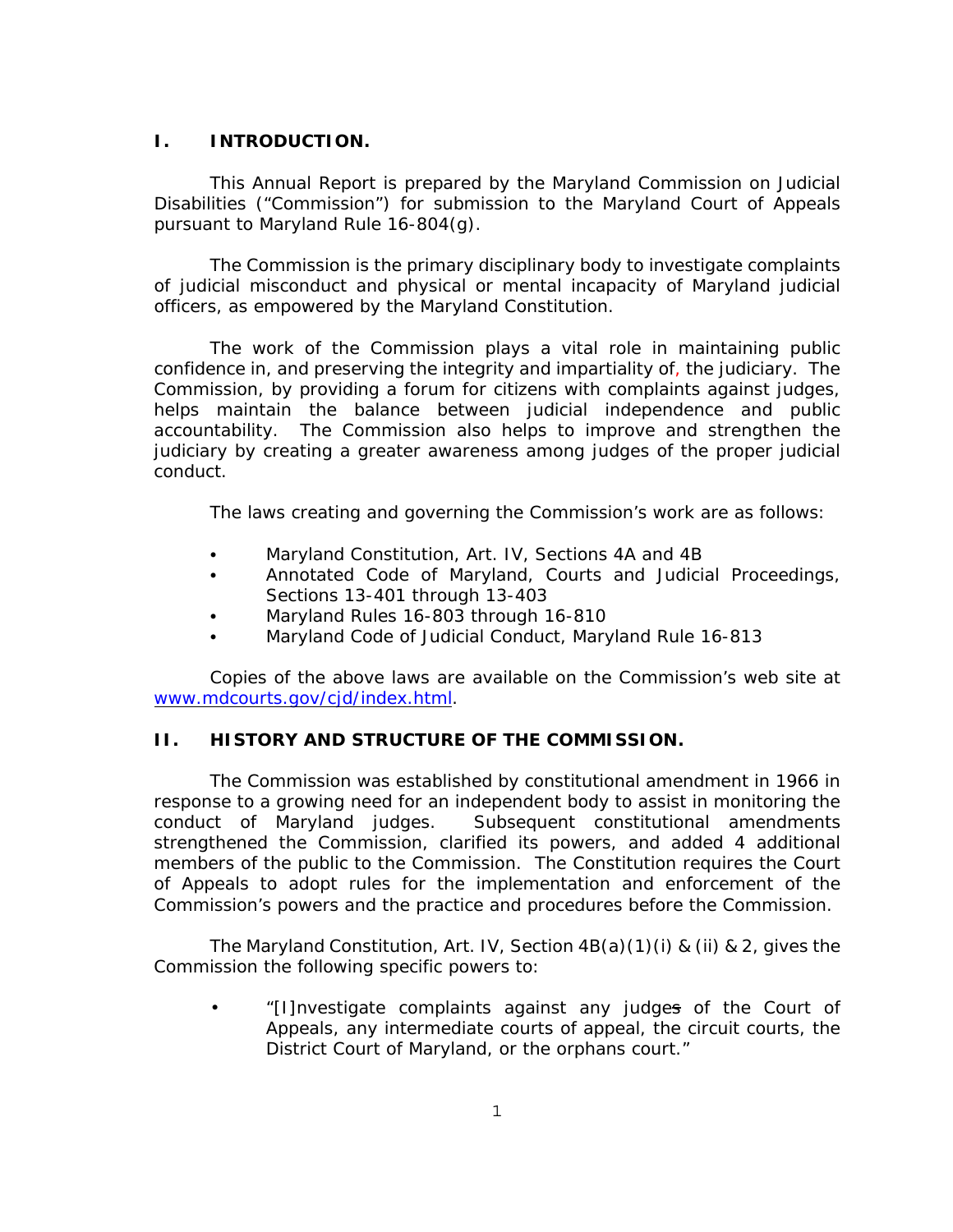### **I. INTRODUCTION.**

This Annual Report is prepared by the Maryland Commission on Judicial Disabilities ("Commission") for submission to the Maryland Court of Appeals pursuant to Maryland Rule 16-804(g).

The Commission is the primary disciplinary body to investigate complaints of judicial misconduct and physical or mental incapacity of Maryland judicial officers, as empowered by the Maryland Constitution.

The work of the Commission plays a vital role in maintaining public confidence in, and preserving the integrity and impartiality of, the judiciary. The Commission, by providing a forum for citizens with complaints against judges, helps maintain the balance between judicial independence and public accountability. The Commission also helps to improve and strengthen the judiciary by creating a greater awareness among judges of the proper judicial conduct.

The laws creating and governing the Commission's work are as follows:

- Maryland Constitution, Art. IV, Sections 4A and 4B
- Annotated Code of Maryland, Courts and Judicial Proceedings, Sections 13-401 through 13-403
- Maryland Rules 16-803 through 16-810
- Maryland Code of Judicial Conduct, Maryland Rule 16-813

Copies of the above laws are available on the Commission's web site at www.mdcourts.gov/cjd/index.html.

# **II. HISTORY AND STRUCTURE OF THE COMMISSION.**

The Commission was established by constitutional amendment in 1966 in response to a growing need for an independent body to assist in monitoring the conduct of Maryland judges. Subsequent constitutional amendments strengthened the Commission, clarified its powers, and added 4 additional members of the public to the Commission. The Constitution requires the Court of Appeals to adopt rules for the implementation and enforcement of the Commission's powers and the practice and procedures before the Commission.

The Maryland Constitution, Art. IV, Section 4B(a)(1)(i) & (ii) & 2, gives the Commission the following specific powers to:

• "[I]nvestigate complaints against any judges of the Court of Appeals, any intermediate courts of appeal, the circuit courts, the District Court of Maryland, or the orphans court."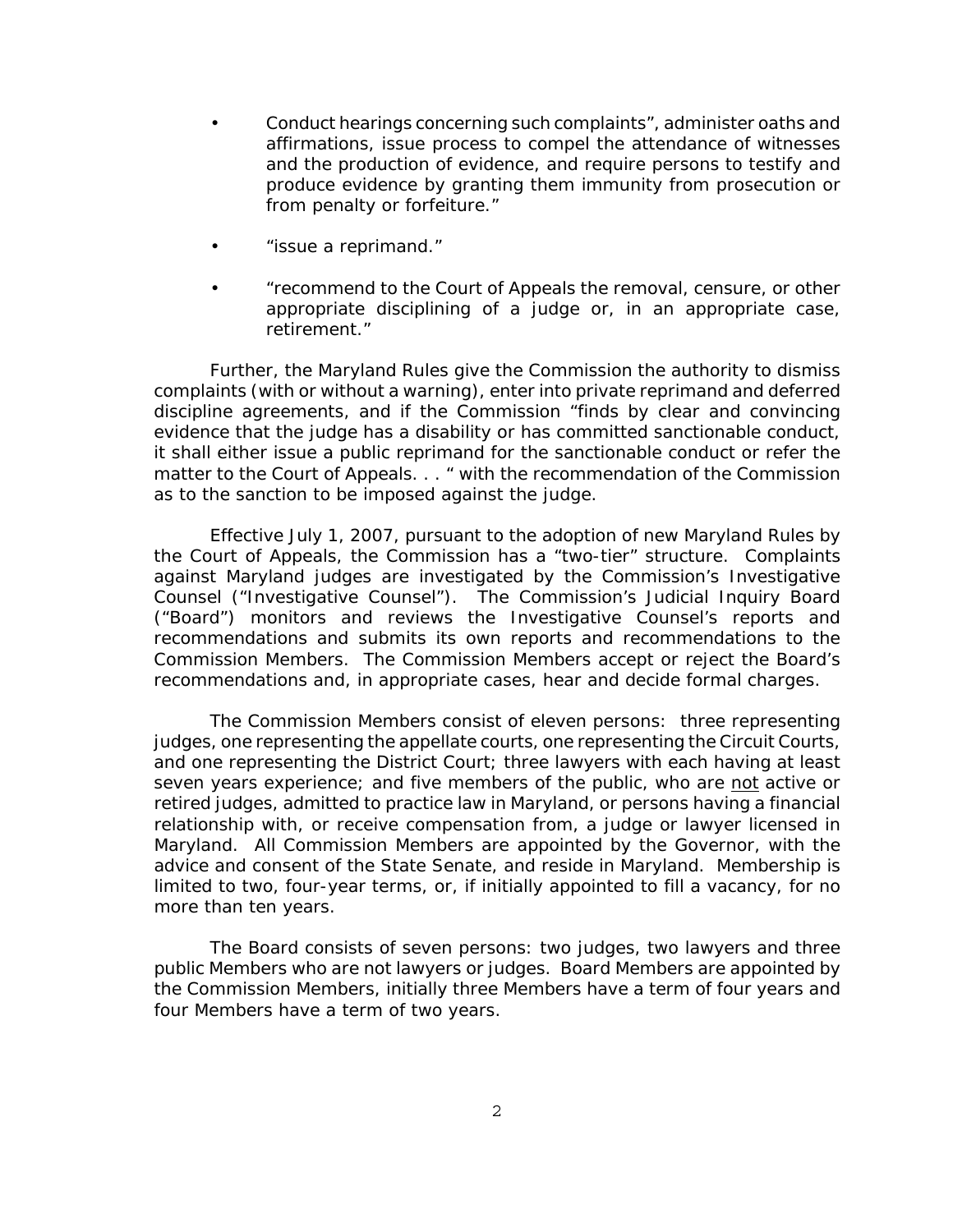- Conduct hearings concerning such complaints", administer oaths and affirmations, issue process to compel the attendance of witnesses and the production of evidence, and require persons to testify and produce evidence by granting them immunity from prosecution or from penalty or forfeiture."
- "issue a reprimand."
- "recommend to the Court of Appeals the removal, censure, or other appropriate disciplining of a judge or, in an appropriate case, retirement."

Further, the Maryland Rules give the Commission the authority to dismiss complaints (with or without a warning), enter into private reprimand and deferred discipline agreements, and if the Commission "finds by clear and convincing evidence that the judge has a disability or has committed sanctionable conduct, it shall either issue a public reprimand for the sanctionable conduct or refer the matter to the Court of Appeals. . . " with the recommendation of the Commission as to the sanction to be imposed against the judge.

Effective July 1, 2007, pursuant to the adoption of new Maryland Rules by the Court of Appeals, the Commission has a "two-tier" structure. Complaints against Maryland judges are investigated by the Commission's Investigative Counsel ("Investigative Counsel"). The Commission's Judicial Inquiry Board ("Board") monitors and reviews the Investigative Counsel's reports and recommendations and submits its own reports and recommendations to the Commission Members. The Commission Members accept or reject the Board's recommendations and, in appropriate cases, hear and decide formal charges.

The Commission Members consist of eleven persons: three representing judges, one representing the appellate courts, one representing the Circuit Courts, and one representing the District Court; three lawyers with each having at least seven years experience; and five members of the public, who are not active or retired judges, admitted to practice law in Maryland, or persons having a financial relationship with, or receive compensation from, a judge or lawyer licensed in Maryland. All Commission Members are appointed by the Governor, with the advice and consent of the State Senate, and reside in Maryland. Membership is limited to two, four-year terms, or, if initially appointed to fill a vacancy, for no more than ten years.

The Board consists of seven persons: two judges, two lawyers and three public Members who are not lawyers or judges. Board Members are appointed by the Commission Members, initially three Members have a term of four years and four Members have a term of two years.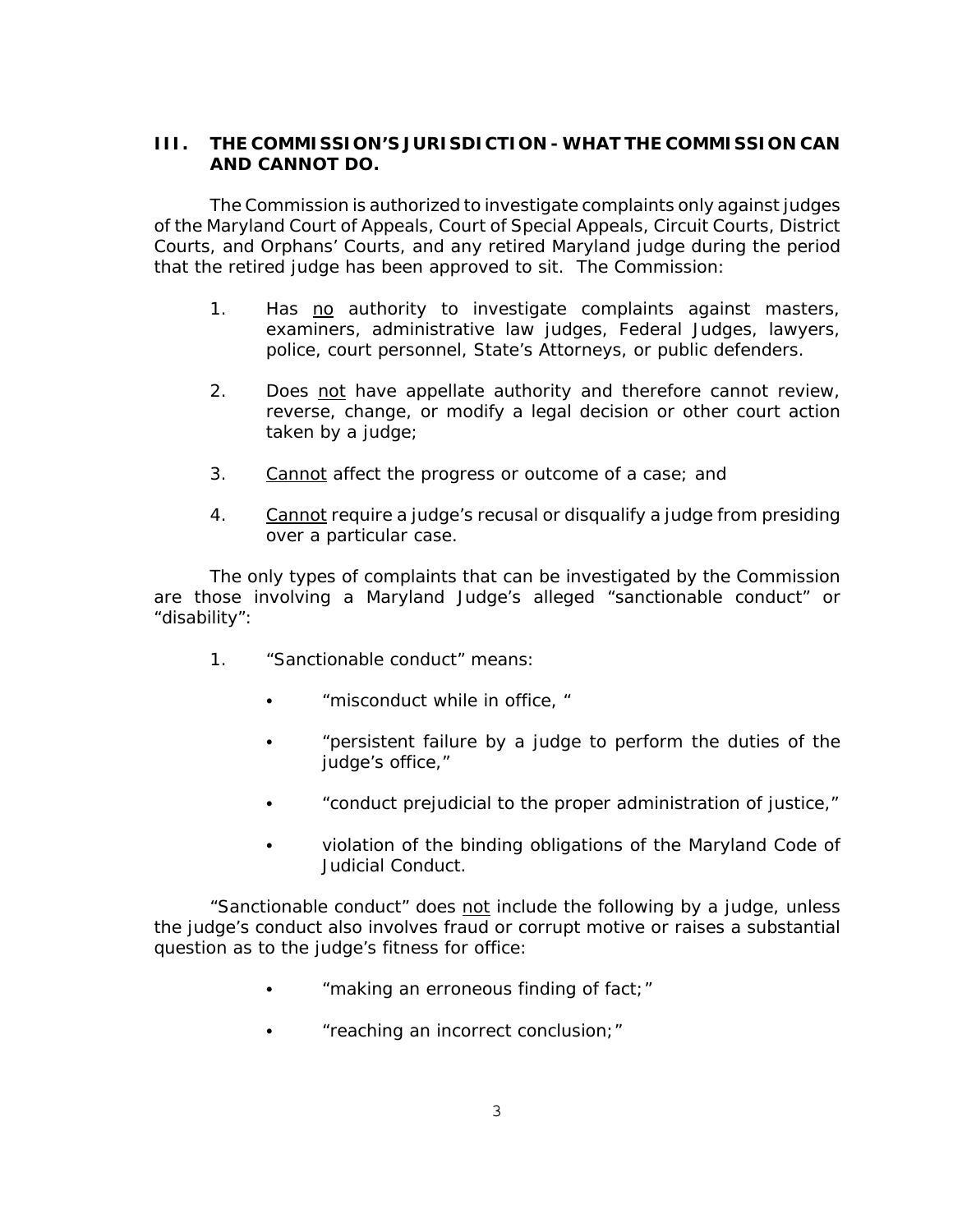# **III. THE COMMISSION'S JURISDICTION - WHAT THE COMMISSION CAN AND CANNOT DO.**

The Commission is authorized to investigate complaints only against judges of the Maryland Court of Appeals, Court of Special Appeals, Circuit Courts, District Courts, and Orphans' Courts, and any retired Maryland judge during the period that the retired judge has been approved to sit. The Commission:

- 1. Has no authority to investigate complaints against masters, examiners, administrative law judges, Federal Judges, lawyers, police, court personnel, State's Attorneys, or public defenders.
- 2. Does not have appellate authority and therefore cannot review, reverse, change, or modify a legal decision or other court action taken by a judge;
- 3. Cannot affect the progress or outcome of a case; and
- 4. Cannot require a judge's recusal or disqualify a judge from presiding over a particular case.

The only types of complaints that can be investigated by the Commission are those involving a Maryland Judge's alleged "sanctionable conduct" or "disability":

- 1. "Sanctionable conduct" means:
	- "misconduct while in office, "
	- "persistent failure by a judge to perform the duties of the judge's office,"
	- "conduct prejudicial to the proper administration of justice,"
	- violation of the binding obligations of the Maryland Code of Judicial Conduct.

"Sanctionable conduct" does not include the following by a judge, unless the judge's conduct also involves fraud or corrupt motive or raises a substantial question as to the judge's fitness for office:

- $\bullet$  "making an erroneous finding of fact;"
- "reaching an incorrect conclusion;"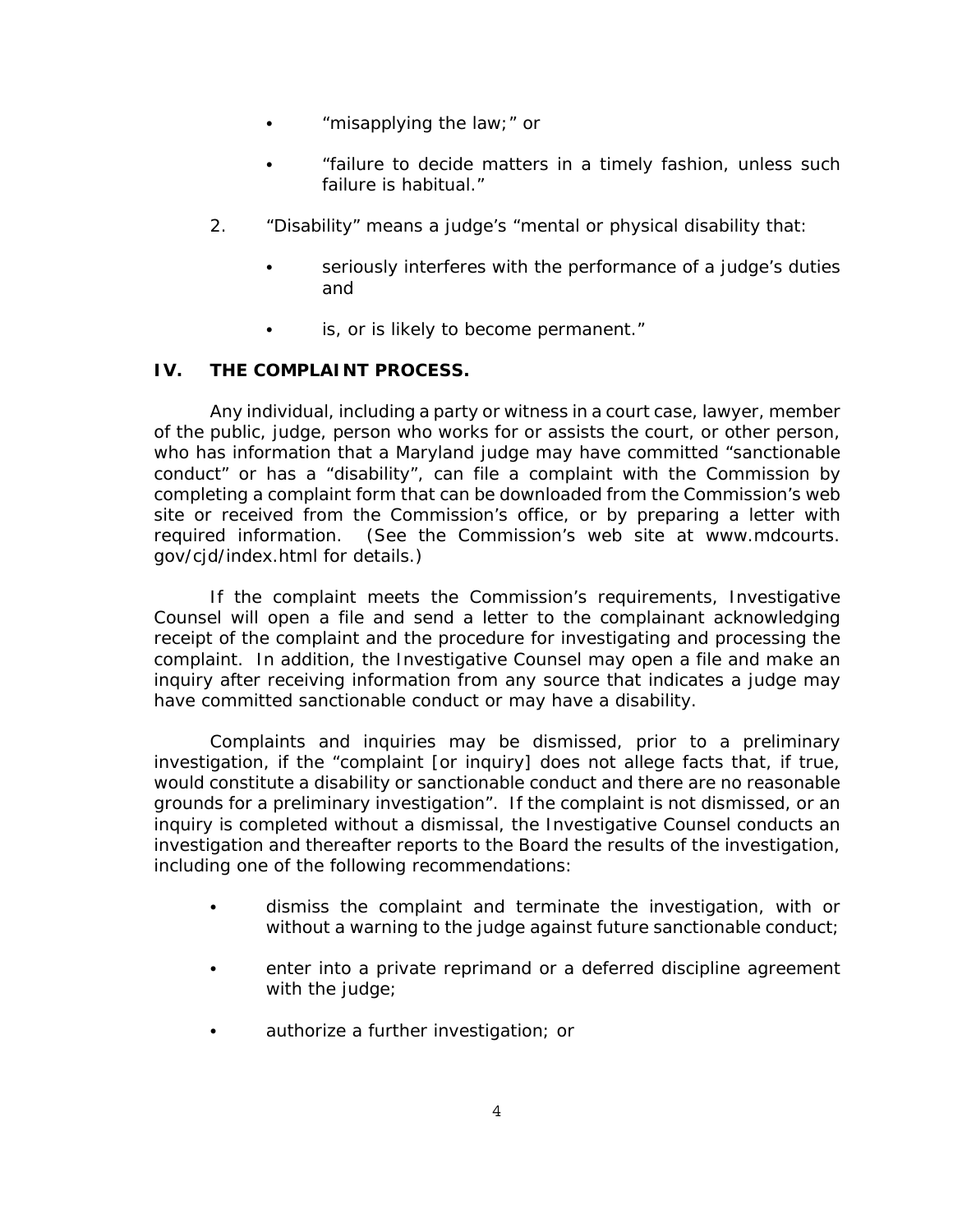- $\bullet$  "misapplying the law;" or
- C "failure to decide matters in a timely fashion, unless such failure is habitual."
- 2. "Disability" means a judge's "mental or physical disability that:
	- seriously interferes with the performance of a judge's duties and
	- $\bullet$  is, or is likely to become permanent."

# **IV. THE COMPLAINT PROCESS.**

Any individual, including a party or witness in a court case, lawyer, member of the public, judge, person who works for or assists the court, or other person, who has information that a Maryland judge may have committed "sanctionable conduct" or has a "disability", can file a complaint with the Commission by completing a complaint form that can be downloaded from the Commission's web site or received from the Commission's office, or by preparing a letter with required information. (See the Commission's web site at www.mdcourts. gov/cjd/index.html for details.)

If the complaint meets the Commission's requirements, Investigative Counsel will open a file and send a letter to the complainant acknowledging receipt of the complaint and the procedure for investigating and processing the complaint. In addition, the Investigative Counsel may open a file and make an inquiry after receiving information from any source that indicates a judge may have committed sanctionable conduct or may have a disability.

Complaints and inquiries may be dismissed, prior to a preliminary investigation, if the "complaint [or inquiry] does not allege facts that, if true, would constitute a disability or sanctionable conduct and there are no reasonable grounds for a preliminary investigation". If the complaint is not dismissed, or an inquiry is completed without a dismissal, the Investigative Counsel conducts an investigation and thereafter reports to the Board the results of the investigation, including one of the following recommendations:

- dismiss the complaint and terminate the investigation, with or without a warning to the judge against future sanctionable conduct;
- enter into a private reprimand or a deferred discipline agreement with the judge;
- **•** authorize a further investigation; or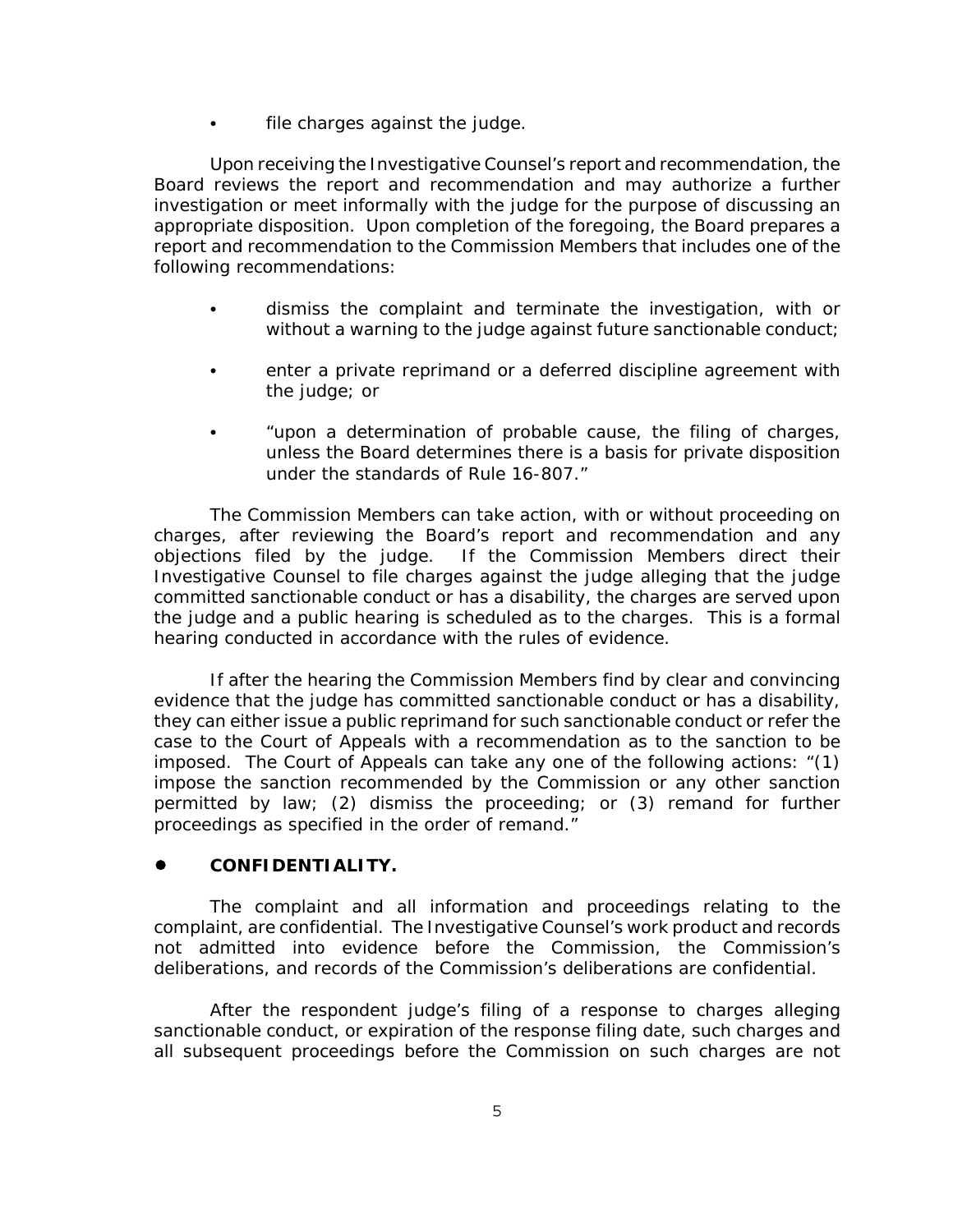$\cdot$  file charges against the judge.

Upon receiving the Investigative Counsel's report and recommendation, the Board reviews the report and recommendation and may authorize a further investigation or meet informally with the judge for the purpose of discussing an appropriate disposition. Upon completion of the foregoing, the Board prepares a report and recommendation to the Commission Members that includes one of the following recommendations:

- dismiss the complaint and terminate the investigation, with or without a warning to the judge against future sanctionable conduct;
- enter a private reprimand or a deferred discipline agreement with the judge; or
- "upon a determination of probable cause, the filing of charges, unless the Board determines there is a basis for private disposition under the standards of Rule 16-807."

The Commission Members can take action, with or without proceeding on charges, after reviewing the Board's report and recommendation and any objections filed by the judge. If the Commission Members direct their Investigative Counsel to file charges against the judge alleging that the judge committed sanctionable conduct or has a disability, the charges are served upon the judge and a public hearing is scheduled as to the charges. This is a formal hearing conducted in accordance with the rules of evidence.

If after the hearing the Commission Members find by clear and convincing evidence that the judge has committed sanctionable conduct or has a disability, they can either issue a public reprimand for such sanctionable conduct or refer the case to the Court of Appeals with a recommendation as to the sanction to be imposed. The Court of Appeals can take any one of the following actions: "(1) impose the sanction recommended by the Commission or any other sanction permitted by law; (2) dismiss the proceeding; or (3) remand for further proceedings as specified in the order of remand."

# ! **CONFIDENTIALITY.**

The complaint and all information and proceedings relating to the complaint, are confidential. The Investigative Counsel's work product and records not admitted into evidence before the Commission, the Commission's deliberations, and records of the Commission's deliberations are confidential.

After the respondent judge's filing of a response to charges alleging sanctionable conduct, or expiration of the response filing date, such charges and all subsequent proceedings before the Commission on such charges are not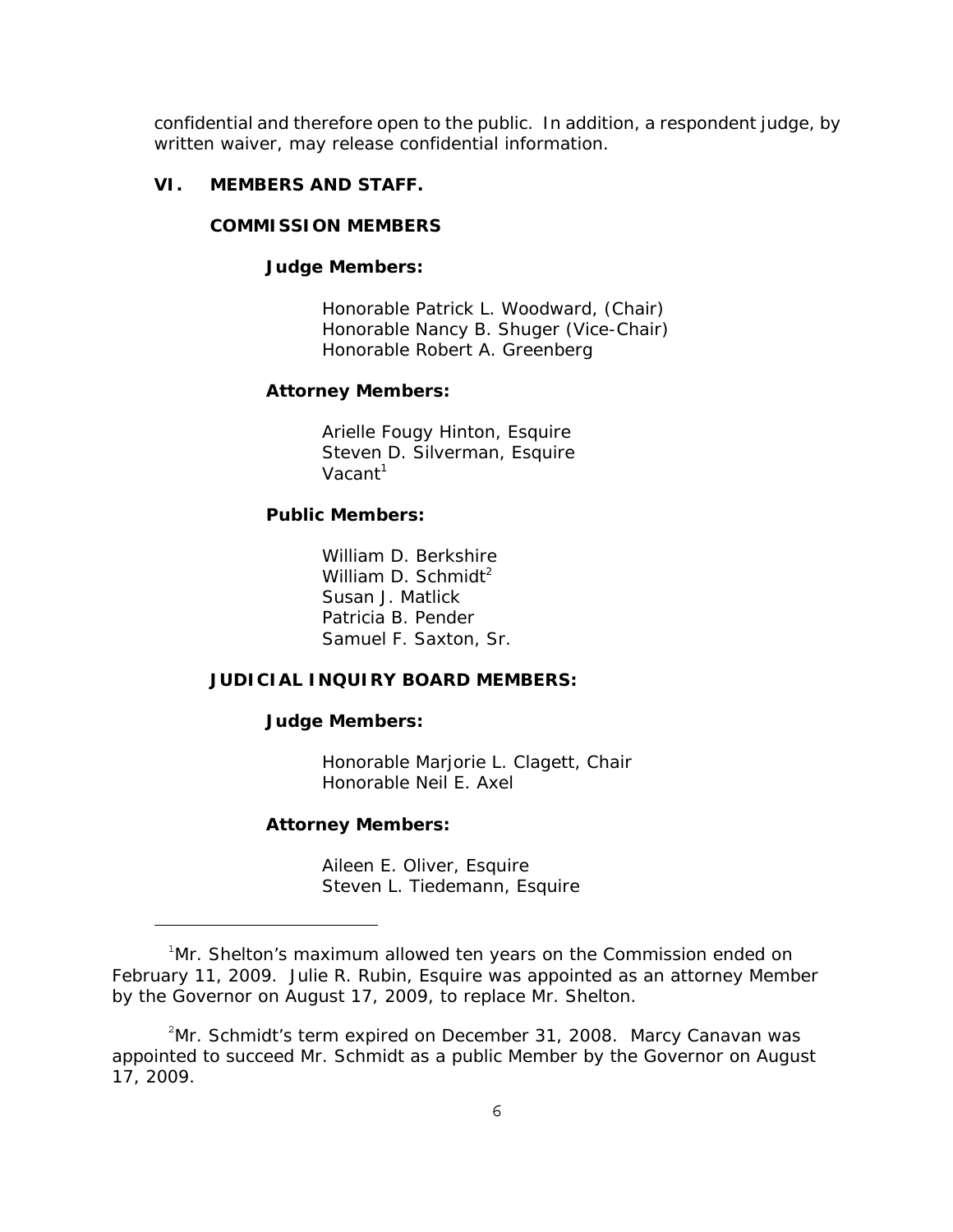confidential and therefore open to the public. In addition, a respondent judge, by written waiver, may release confidential information.

#### **VI. MEMBERS AND STAFF.**

#### **COMMISSION MEMBERS**

### **Judge Members:**

Honorable Patrick L. Woodward, (Chair) Honorable Nancy B. Shuger (Vice-Chair) Honorable Robert A. Greenberg

#### **Attorney Members:**

Arielle Fougy Hinton, Esquire Steven D. Silverman, Esquire Vacant $1$ 

### **Public Members:**

William D. Berkshire William D. Schmidt<sup>2</sup> Susan J. Matlick Patricia B. Pender Samuel F. Saxton, Sr.

#### **JUDICIAL INQUIRY BOARD MEMBERS:**

#### **Judge Members:**

Honorable Marjorie L. Clagett, Chair Honorable Neil E. Axel

#### **Attorney Members:**

Aileen E. Oliver, Esquire Steven L. Tiedemann, Esquire

<sup>&</sup>lt;sup>1</sup>Mr. Shelton's maximum allowed ten years on the Commission ended on February 11, 2009. Julie R. Rubin, Esquire was appointed as an attorney Member by the Governor on August 17, 2009, to replace Mr. Shelton.

<sup>&</sup>lt;sup>2</sup>Mr. Schmidt's term expired on December 31, 2008. Marcy Canavan was appointed to succeed Mr. Schmidt as a public Member by the Governor on August 17, 2009.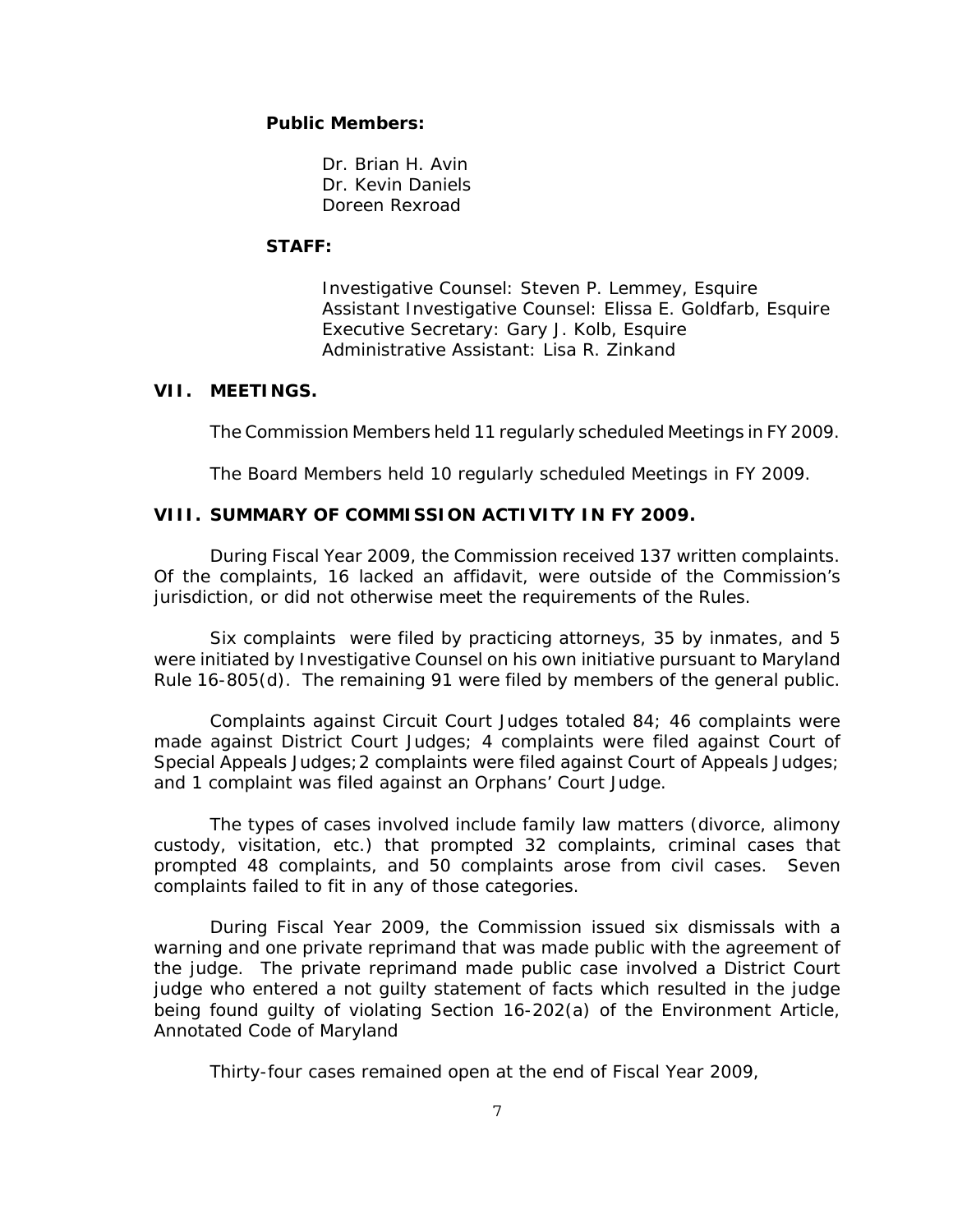#### **Public Members:**

Dr. Brian H. Avin Dr. Kevin Daniels Doreen Rexroad

#### **STAFF:**

Investigative Counsel: Steven P. Lemmey, Esquire Assistant Investigative Counsel: Elissa E. Goldfarb, Esquire Executive Secretary: Gary J. Kolb, Esquire Administrative Assistant: Lisa R. Zinkand

#### **VII. MEETINGS.**

The Commission Members held 11 regularly scheduled Meetings in FY 2009.

The Board Members held 10 regularly scheduled Meetings in FY 2009.

### **VIII. SUMMARY OF COMMISSION ACTIVITY IN FY 2009.**

During Fiscal Year 2009, the Commission received 137 written complaints. Of the complaints, 16 lacked an affidavit, were outside of the Commission's jurisdiction, or did not otherwise meet the requirements of the Rules.

Six complaints were filed by practicing attorneys, 35 by inmates, and 5 were initiated by Investigative Counsel on his own initiative pursuant to Maryland Rule 16-805(d). The remaining 91 were filed by members of the general public.

Complaints against Circuit Court Judges totaled 84; 46 complaints were made against District Court Judges; 4 complaints were filed against Court of Special Appeals Judges; 2 complaints were filed against Court of Appeals Judges; and 1 complaint was filed against an Orphans' Court Judge.

The types of cases involved include family law matters (divorce, alimony custody, visitation, etc.) that prompted 32 complaints, criminal cases that prompted 48 complaints, and 50 complaints arose from civil cases. Seven complaints failed to fit in any of those categories.

During Fiscal Year 2009, the Commission issued six dismissals with a warning and one private reprimand that was made public with the agreement of the judge. The private reprimand made public case involved a District Court judge who entered a not guilty statement of facts which resulted in the judge being found guilty of violating Section 16-202(a) of the Environment Article, Annotated Code of Maryland

Thirty-four cases remained open at the end of Fiscal Year 2009,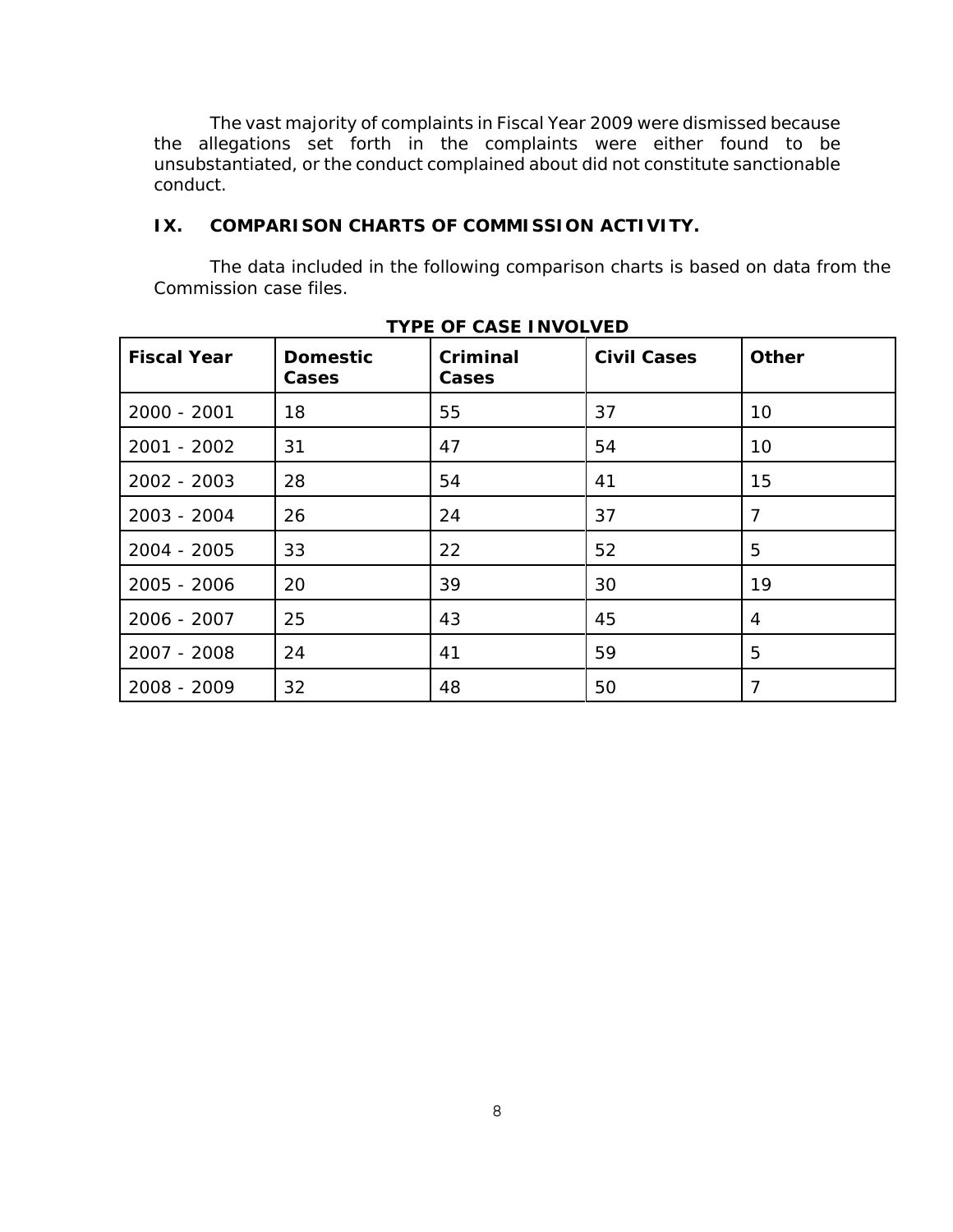The vast majority of complaints in Fiscal Year 2009 were dismissed because the allegations set forth in the complaints were either found to be unsubstantiated, or the conduct complained about did not constitute sanctionable conduct.

# **IX. COMPARISON CHARTS OF COMMISSION ACTIVITY.**

The data included in the following comparison charts is based on data from the Commission case files.

| <b>Fiscal Year</b> | <b>Domestic</b><br><b>Cases</b> | Criminal<br>Cases | <b>Civil Cases</b> | <b>Other</b>   |
|--------------------|---------------------------------|-------------------|--------------------|----------------|
| 2000 - 2001        | 18                              | 55                | 37                 | 10             |
| 2001 - 2002        | 31                              | 47                | 54                 | 10             |
| 2002 - 2003        | 28                              | 54                | 41                 | 15             |
| 2003 - 2004        | 26                              | 24                | 37                 | $\overline{7}$ |
| 2004 - 2005        | 33                              | 22                | 52                 | 5              |
| 2005 - 2006        | 20                              | 39                | 30                 | 19             |
| 2006 - 2007        | 25                              | 43                | 45                 | 4              |
| 2007 - 2008        | 24                              | 41                | 59                 | 5              |
| 2008 - 2009        | 32                              | 48                | 50                 | 7              |

# **TYPE OF CASE INVOLVED**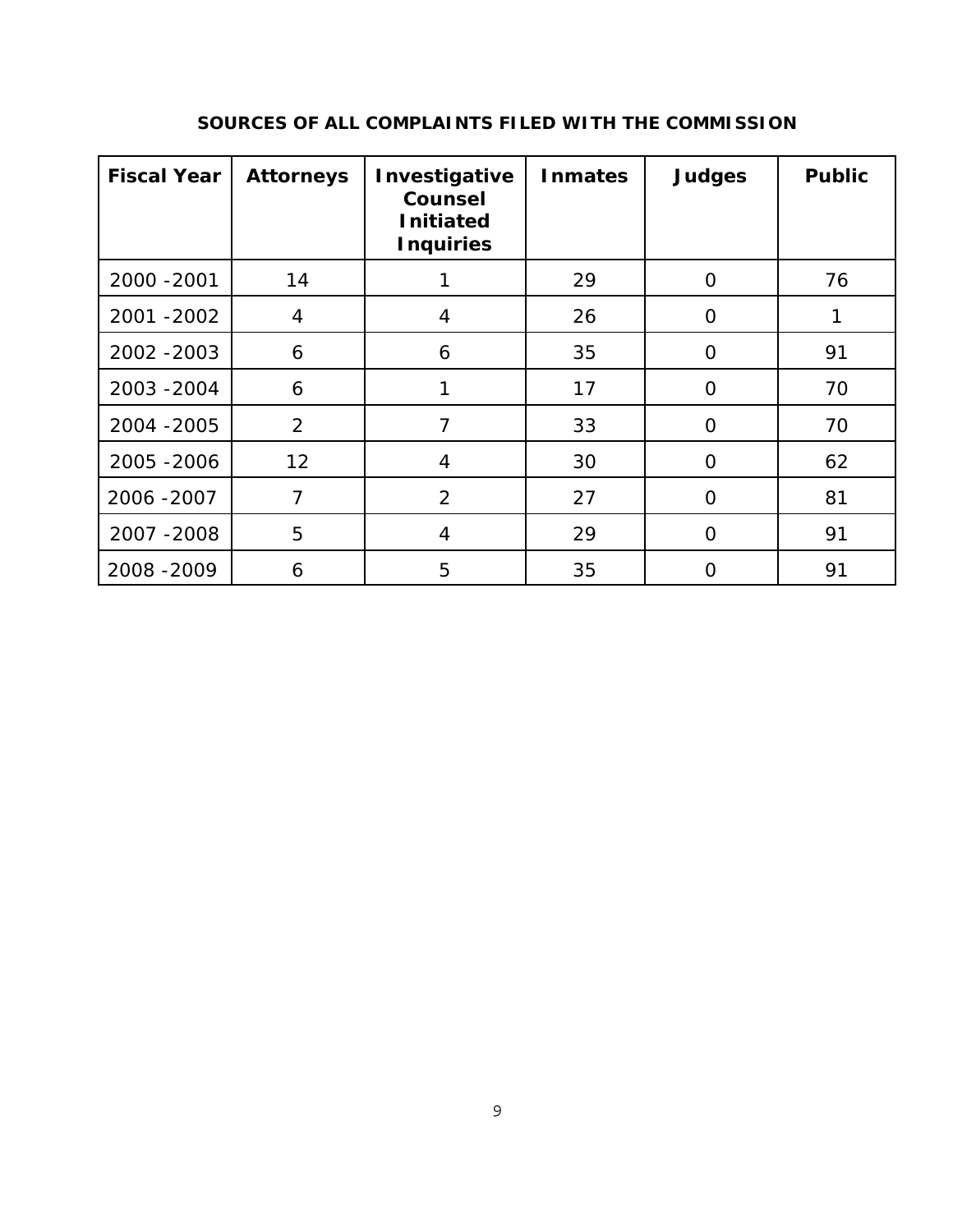| <b>Fiscal Year</b> | <b>Attorneys</b> | Investigative<br><b>Counsel</b><br><b>Initiated</b><br><b>Inquiries</b> | <b>Inmates</b> | <b>Judges</b>  | <b>Public</b> |
|--------------------|------------------|-------------------------------------------------------------------------|----------------|----------------|---------------|
| 2000 - 2001        | 14               |                                                                         | 29             | $\overline{O}$ | 76            |
| 2001 - 2002        | 4                | $\overline{4}$                                                          | 26             | $\overline{O}$ | 1             |
| 2002 - 2003        | 6                | 6                                                                       | 35             | $\overline{O}$ | 91            |
| 2003 - 2004        | 6                |                                                                         | 17             | $\Omega$       | 70            |
| 2004 - 2005        | 2                | 7                                                                       | 33             | O              | 70            |
| 2005 - 2006        | 12               | $\overline{4}$                                                          | 30             | $\Omega$       | 62            |
| 2006 - 2007        | $\overline{7}$   | $\overline{2}$                                                          | 27             | $\Omega$       | 81            |
| 2007 - 2008        | 5                | $\overline{4}$                                                          | 29             | $\Omega$       | 91            |
| 2008 - 2009        | 6                | 5                                                                       | 35             | 0              | 91            |

# **SOURCES OF ALL COMPLAINTS FILED WITH THE COMMISSION**